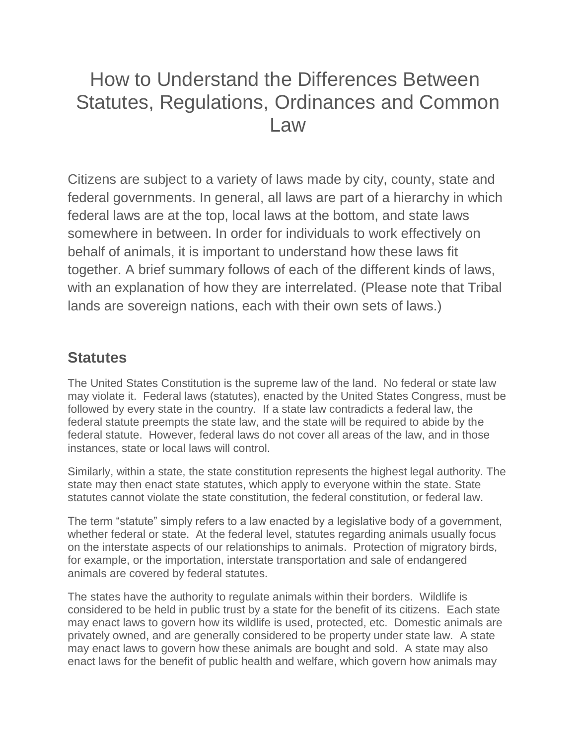# How to Understand the Differences Between Statutes, Regulations, Ordinances and Common Law

Citizens are subject to a variety of laws made by city, county, state and federal governments. In general, all laws are part of a hierarchy in which federal laws are at the top, local laws at the bottom, and state laws somewhere in between. In order for individuals to work effectively on behalf of animals, it is important to understand how these laws fit together. A brief summary follows of each of the different kinds of laws, with an explanation of how they are interrelated. (Please note that Tribal lands are sovereign nations, each with their own sets of laws.)

#### **Statutes**

The United States Constitution is the supreme law of the land. No federal or state law may violate it. Federal laws (statutes), enacted by the United States Congress, must be followed by every state in the country. If a state law contradicts a federal law, the federal statute preempts the state law, and the state will be required to abide by the federal statute. However, federal laws do not cover all areas of the law, and in those instances, state or local laws will control.

Similarly, within a state, the state constitution represents the highest legal authority. The state may then enact state statutes, which apply to everyone within the state. State statutes cannot violate the state constitution, the federal constitution, or federal law.

The term "statute" simply refers to a law enacted by a legislative body of a government, whether federal or state. At the federal level, statutes regarding animals usually focus on the interstate aspects of our relationships to animals. Protection of migratory birds, for example, or the importation, interstate transportation and sale of endangered animals are covered by federal statutes.

The states have the authority to regulate animals within their borders. Wildlife is considered to be held in public trust by a state for the benefit of its citizens. Each state may enact laws to govern how its wildlife is used, protected, etc. Domestic animals are privately owned, and are generally considered to be property under state law. A state may enact laws to govern how these animals are bought and sold. A state may also enact laws for the benefit of public health and welfare, which govern how animals may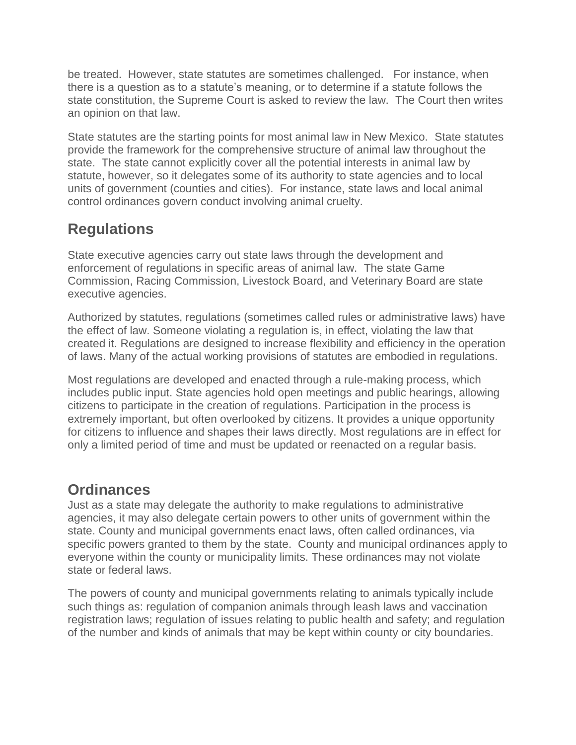be treated. However, state statutes are sometimes challenged. For instance, when there is a question as to a statute's meaning, or to determine if a statute follows the state constitution, the Supreme Court is asked to review the law. The Court then writes an opinion on that law.

State statutes are the starting points for most animal law in New Mexico. State statutes provide the framework for the comprehensive structure of animal law throughout the state. The state cannot explicitly cover all the potential interests in animal law by statute, however, so it delegates some of its authority to state agencies and to local units of government (counties and cities). For instance, state laws and local animal control ordinances govern conduct involving animal cruelty.

## **Regulations**

State executive agencies carry out state laws through the development and enforcement of regulations in specific areas of animal law. The state Game Commission, Racing Commission, Livestock Board, and Veterinary Board are state executive agencies.

Authorized by statutes, regulations (sometimes called rules or administrative laws) have the effect of law. Someone violating a regulation is, in effect, violating the law that created it. Regulations are designed to increase flexibility and efficiency in the operation of laws. Many of the actual working provisions of statutes are embodied in regulations.

Most regulations are developed and enacted through a rule-making process, which includes public input. State agencies hold open meetings and public hearings, allowing citizens to participate in the creation of regulations. Participation in the process is extremely important, but often overlooked by citizens. It provides a unique opportunity for citizens to influence and shapes their laws directly. Most regulations are in effect for only a limited period of time and must be updated or reenacted on a regular basis.

### **Ordinances**

Just as a state may delegate the authority to make regulations to administrative agencies, it may also delegate certain powers to other units of government within the state. County and municipal governments enact laws, often called ordinances, via specific powers granted to them by the state. County and municipal ordinances apply to everyone within the county or municipality limits. These ordinances may not violate state or federal laws.

The powers of county and municipal governments relating to animals typically include such things as: regulation of companion animals through leash laws and vaccination registration laws; regulation of issues relating to public health and safety; and regulation of the number and kinds of animals that may be kept within county or city boundaries.